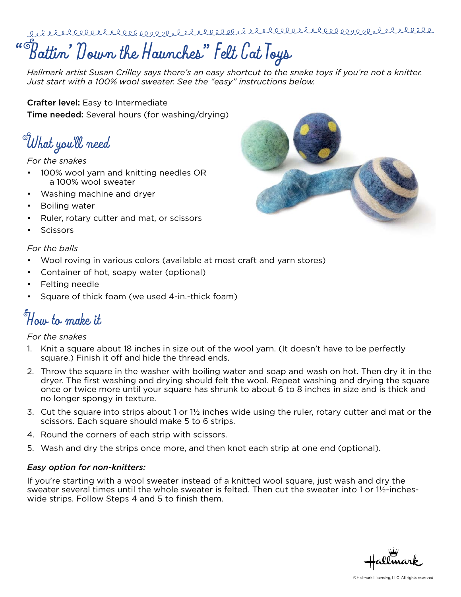# **" Battin' Down the Haunches" Felt Cat Toys**

*Hallmark artist Susan Crilley says there's an easy shortcut to the snake toys if you're not a knitter. Just start with a 100% wool sweater. See the "easy" instructions below.*

Crafter level: Easy to Intermediate **Time needed:** Several hours (for washing/drying)

**What you'll need**

## *For the snakes*

- 100% wool yarn and knitting needles OR a 100% wool sweater
- Washing machine and dryer
- Boiling water
- • Ruler, rotary cutter and mat, or scissors
- **Scissors**

## *For the balls*

- Wool roving in various colors (available at most craft and yarn stores)
- Container of hot, soapy water (optional)
- Felting needle
- Square of thick foam (we used 4-in.-thick foam)

# **How to make it**

### *For the snakes*

- 1. Knit a square about 18 inches in size out of the wool yarn. (It doesn't have to be perfectly square.) Finish it off and hide the thread ends.
- 2. Throw the square in the washer with boiling water and soap and wash on hot. Then dry it in the dryer. The first washing and drying should felt the wool. Repeat washing and drying the square once or twice more until your square has shrunk to about 6 to 8 inches in size and is thick and no longer spongy in texture.
- 3. Cut the square into strips about 1 or 1½ inches wide using the ruler, rotary cutter and mat or the scissors. Each square should make 5 to 6 strips.
- 4. Round the corners of each strip with scissors.
- 5. Wash and dry the strips once more, and then knot each strip at one end (optional).

### *Easy option for non-knitters:*

If you're starting with a wool sweater instead of a knitted wool square, just wash and dry the sweater several times until the whole sweater is felted. Then cut the sweater into 1 or 1½-incheswide strips. Follow Steps 4 and 5 to finish them.